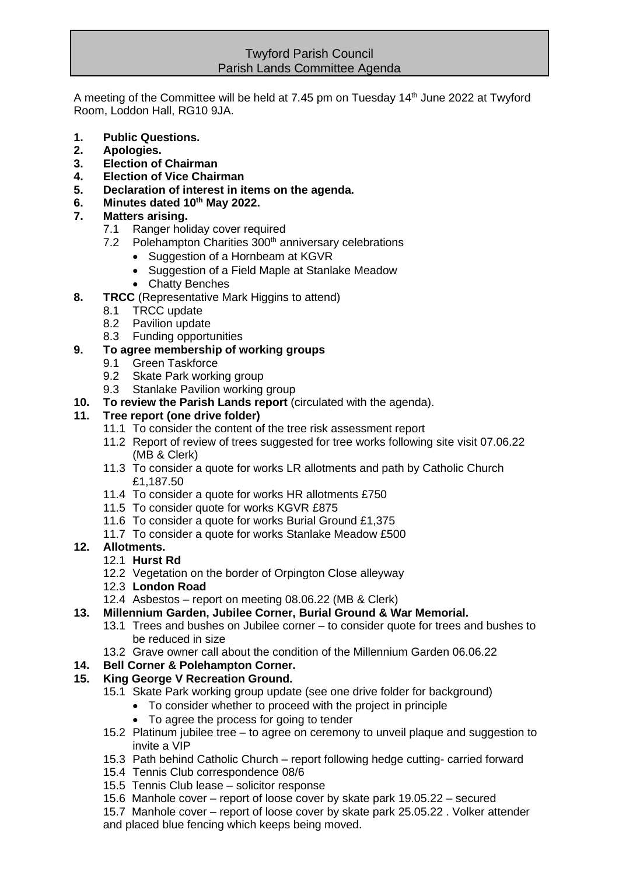### Twyford Parish Council Parish Lands Committee Agenda

A meeting of the Committee will be held at 7.45 pm on Tuesday 14<sup>th</sup> June 2022 at Twyford Room, Loddon Hall, RG10 9JA.

- **1. Public Questions.**
- **2. Apologies.**
- **3. Election of Chairman**
- **4. Election of Vice Chairman**
- **5. Declaration of interest in items on the agenda.**
- **6. Minutes dated 10th May 2022.**

### **7. Matters arising.**

- 7.1 Ranger holiday cover required
- 7.2 Polehampton Charities 300<sup>th</sup> anniversary celebrations
	- Suggestion of a Hornbeam at KGVR
	- Suggestion of a Field Maple at Stanlake Meadow
	- Chatty Benches
- **8. TRCC** (Representative Mark Higgins to attend)
	- 8.1 TRCC update
	- 8.2 Pavilion update
	- 8.3 Funding opportunities

### **9. To agree membership of working groups**

- 9.1 Green Taskforce
- 9.2 Skate Park working group
- 9.3 Stanlake Pavilion working group
- **10. To review the Parish Lands report** (circulated with the agenda).

#### **11. Tree report (one drive folder)**

- 11.1 To consider the content of the tree risk assessment report
- 11.2 Report of review of trees suggested for tree works following site visit 07.06.22 (MB & Clerk)
- 11.3 To consider a quote for works LR allotments and path by Catholic Church £1,187.50
- 11.4 To consider a quote for works HR allotments £750
- 11.5 To consider quote for works KGVR £875
- 11.6 To consider a quote for works Burial Ground £1,375
- 11.7 To consider a quote for works Stanlake Meadow £500

#### **12. Allotments.**

- 12.1 **Hurst Rd**
- 12.2 Vegetation on the border of Orpington Close alleyway
- 12.3 **London Road**
- 12.4 Asbestos report on meeting 08.06.22 (MB & Clerk)
- **13. Millennium Garden, Jubilee Corner, Burial Ground & War Memorial.**
	- 13.1 Trees and bushes on Jubilee corner to consider quote for trees and bushes to be reduced in size
	- 13.2 Grave owner call about the condition of the Millennium Garden 06.06.22

# **14. Bell Corner & Polehampton Corner.**

# **15. King George V Recreation Ground.**

- 15.1 Skate Park working group update (see one drive folder for background)
	- To consider whether to proceed with the project in principle
		- To agree the process for going to tender
- 15.2 Platinum jubilee tree to agree on ceremony to unveil plaque and suggestion to invite a VIP
- 15.3 Path behind Catholic Church report following hedge cutting- carried forward
- 15.4 Tennis Club correspondence 08/6
- 15.5 Tennis Club lease solicitor response
- 15.6 Manhole cover report of loose cover by skate park 19.05.22 secured
- 15.7 Manhole cover report of loose cover by skate park 25.05.22 . Volker attender and placed blue fencing which keeps being moved.